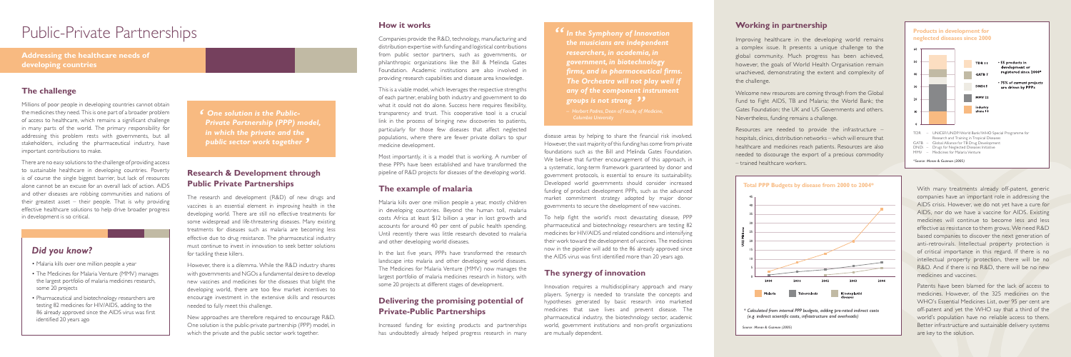disease areas by helping to share the financial risk involved. However, the vast majority of this funding has come from private foundations such as the Bill and Melinda Gates Foundation. We believe that further encouragement of this approach, in a systematic, long-term framework guaranteed by donor and government protocols, is essential to ensure its sustainability. Developed world governments should consider increased funding of product development PPPs, such as the advanced market commitment strategy adopted by major donor governments to secure the development of new vaccines.

To help fight the world's most devastating disease, PPP pharmaceutical and biotechnology researchers are testing 82 medicines for HIV/AIDS and related conditions and intensifying their work toward the development of vaccines. The medicines now in the pipeline will add to the 86 already approved since the AIDS virus was first identified more than 20 years ago.

#### **The synergy of innovation**

Innovation requires a multidisciplinary approach and many players. Synergy is needed to translate the concepts and hypotheses generated by basic research into marketed medicines that save lives and prevent disease. The pharmaceutical industry, the biotechnology sector, academic world, government institutions and non-profit organizations are mutually dependent.

#### **How it works**

Companies provide the R&D, technology, manufacturing and distribution expertise with funding and logistical contributions from public sector partners, such as governments, or philanthropic organizations like the Bill & Melinda Gates Foundation. Academic institutions are also involved in providing research capabilities and disease area knowledge.

This is a viable model, which leverages the respective strengths of each partner, enabling both industry and government to do what it could not do alone. Success here requires flexibility, transparency and trust. This cooperative tool is a crucial link in the process of bringing new discoveries to patients, particularly for those few diseases that affect neglected populations, where there are fewer private dollars to spur medicine development.

Most importantly, it is a model that is working. A number of these PPPs have been established and have transformed the pipeline of R&D projects for diseases of the developing world.

#### **The example of malaria**

Malaria kills over one million people a year, mostly children in developing countries. Beyond the human toll, malaria costs Africa at least \$12 billion a year in lost growth and accounts for around 40 per cent of public health spending. Until recently there was little research devoted to malaria and other developing world diseases.

In the last five years, PPPs have transformed the research landscape into malaria and other developing world diseases. The Medicines for Malaria Venture (MMV) now manages the largest portfolio of malaria medicines research in history, with some 20 projects at different stages of development.

# **Delivering the promising potential of Private-Public Partnerships**

Increased funding for existing products and partnerships has undoubtedly already helped progress research in many **<sup>66</sup>** In the Symphony of Innovation *the musicians are independent researchers, in academia, in government, in biotechnology firms, and in pharmaceutical firms. The Orchestra will not play well if any of the component instrument*  **groups is not strong ??**<br>- Herbert Padres, Dean of Faculty of *i* 

# Public-Private Partnerships

#### **The challenge**

Millions of poor people in developing countries cannot obtain the medicines they need. This is one part of a broader problem of access to healthcare, which remains a significant challenge in many parts of the world. The primary responsibility for addressing this problem rests with governments, but all stakeholders, including the pharmaceutical industry, have important contributions to make.

There are no easy solutions to the challenge of providing access to sustainable healthcare in developing countries. Poverty is of course the single biggest barrier, but lack of resources alone cannot be an excuse for an overall lack of action. AIDS and other diseases are robbing communities and nations of their greatest asset – their people. That is why providing effective healthcare solutions to help drive broader progress in development is so critical.

**Addressing the healthcare needs of developing countries** 

#### **Working in partnership**

Improving healthcare in the developing world remains a complex issue. It presents a unique challenge to the global community. Much progress has been achieved, however, the goals of World Health Organisation remain unachieved, demonstrating the extent and complexity of the challenge.

Welcome new resources are coming through from the Global Fund to Fight AIDS, TB and Malaria; the World Bank; the Gates Foundation; the UK and US Governments and others. Nevertheless, funding remains a challenge.

Resources are needed to provide the infrastructure – hospitals, clinics, distribution networks – which will ensure that healthcare and medicines reach patients. Resources are also needed to discourage the export of a precious commodity – trained healthcare workers.

> With many treatments already off-patent, generic companies have an important role in addressing the AIDS crisis. However, we do not yet have a cure for AIDS, nor do we have a vaccine for AIDS. Existing medicines will continue to become less and less effective as resistance to them grows. We need R&D based companies to discover the next generation of anti-retrovirals. Intellectual property protection is of critical importance in this regard. If there is no intellectual property protection, there will be no R&D. And if there is no R&D, there will be no new medicines and vaccines.

> Patents have been blamed for the lack of access to medicines. However, of the 325 medicines on the WHO's Essential Medicines List, over 95 per cent are off-patent and yet the WHO say that a third of the world's population have no reliable access to them. Better infrastructure and sustainable delivery systems are key to the solution.



# **Research & Development through Public Private Partnerships**

The research and development (R&D) of new drugs and vaccines is an essential element in improving health in the developing world. There are still no effective treatments for some widespread and life-threatening diseases. Many existing treatments for diseases such as malaria are becoming less effective due to drug resistance. The pharmaceutical industry must continue to invest in innovation to seek better solutions for tackling these killers.

However, there is a dilemma. While the R&D industry shares with governments and NGOs a fundamental desire to develop new vaccines and medicines for the diseases that blight the developing world, there are too few market incentives to encourage investment in the extensive skills and resources needed to fully meet this challenge.

New approaches are therefore required to encourage R&D. One solution is the public-private partnership (PPP) model, in which the private and the public sector work together.

# *Did you know?*

- Malaria kills over one million people a year
- The Medicines for Malaria Venture (MMV) manages the largest portfolio of malaria medicines research, some 20 projects
- Pharmaceutical and biotechnology researchers are testing 82 medicines for HIV/AIDS, adding to the 86 already approved since the AIDS virus was first identified 20 years ago

*Columbia University*

*One solution is the Public-Private Partnership (PPP) model, in which the private and the public sector work together '*

*Source: Moran & Guzman (2005)*

*\* Calculated from internal PPP budgets, adding pro-rated indirect costs (e.g. indirect scientific costs, infrastructure and overheads)*